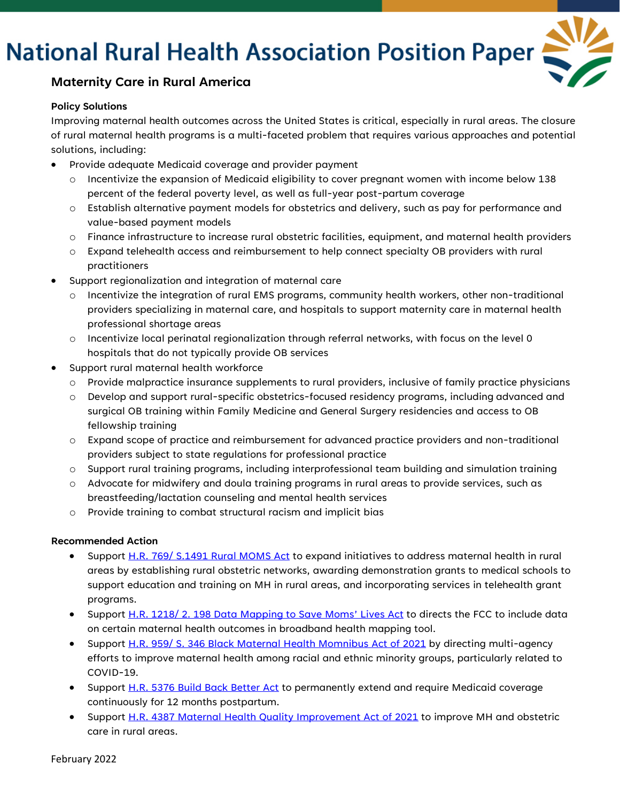# **National Rural Health Association Position Paper**



### **Maternity Care in Rural America**

### **Policy Solutions**

Improving maternal health outcomes across the United States is critical, especially in rural areas. The closure of rural maternal health programs is a multi-faceted problem that requires various approaches and potential solutions, including:

- Provide adequate Medicaid coverage and provider payment
	- o Incentivize the expansion of Medicaid eligibility to cover pregnant women with income below 138 percent of the federal poverty level, as well as full-year post-partum coverage
	- o Establish alternative payment models for obstetrics and delivery, such as pay for performance and value-based payment models
	- o Finance infrastructure to increase rural obstetric facilities, equipment, and maternal health providers
	- o Expand telehealth access and reimbursement to help connect specialty OB providers with rural practitioners
- Support regionalization and integration of maternal care
	- o Incentivize the integration of rural EMS programs, community health workers, other non-traditional providers specializing in maternal care, and hospitals to support maternity care in maternal health professional shortage areas
	- o Incentivize local perinatal regionalization through referral networks, with focus on the level 0 hospitals that do not typically provide OB services
- Support rural maternal health workforce
	- o Provide malpractice insurance supplements to rural providers, inclusive of family practice physicians
	- o Develop and support rural-specific obstetrics-focused residency programs, including advanced and surgical OB training within Family Medicine and General Surgery residencies and access to OB fellowship training
	- o Expand scope of practice and reimbursement for advanced practice providers and non-traditional providers subject to state regulations for professional practice
	- o Support rural training programs, including interprofessional team building and simulation training
	- o Advocate for midwifery and doula training programs in rural areas to provide services, such as breastfeeding/lactation counseling and mental health services
	- o Provide training to combat structural racism and implicit bias

#### **Recommended Action**

- Suppor[t H.R. 769/ S.1491 Rural MOMS Act](https://www.congress.gov/bill/117th-congress/house-bill/769) to expand initiatives to address maternal health in rural areas by establishing rural obstetric networks, awarding demonstration grants to medical schools to support education and training on MH in rural areas, and incorporating services in telehealth grant programs.
- Support [H.R. 1218/ 2. 198 Data Mapping to Save Moms' Lives Act](https://www.congress.gov/bill/117th-congress/house-bill/1218) to directs the FCC to include data on certain maternal health outcomes in broadband health mapping tool.
- Support [H.R. 959/ S. 346 Black Maternal Health Momnibus Act of 2021](https://www.congress.gov/bill/117th-congress/senate-bill/346/titles?r=97&s=1) by directing multi-agency efforts to improve maternal health among racial and ethnic minority groups, particularly related to COVID-19.
- Support H.R. 5376 [Build Back Better Act](https://www.congress.gov/bill/117th-congress/house-bill/5376) to permanently extend and require Medicaid coverage continuously for 12 months postpartum.
- Support [H.R. 4387 Maternal Health Quality Improvement Act of 2021](https://www.congress.gov/bill/117th-congress/house-bill/4387) to improve MH and obstetric care in rural areas.